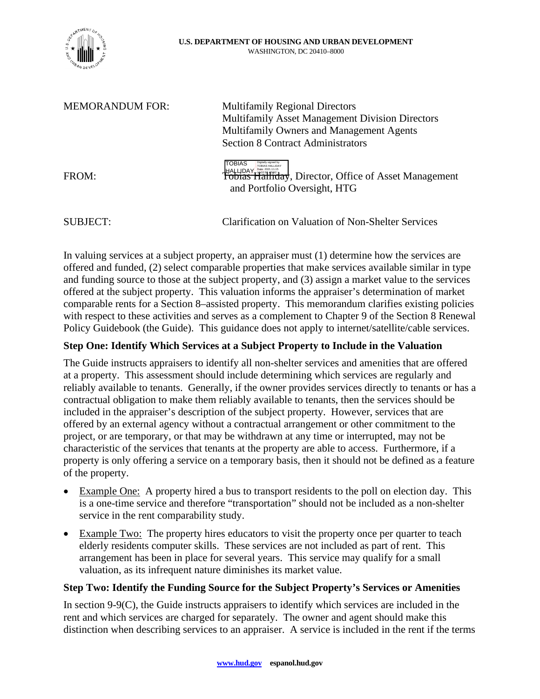

| <b>MEMORANDUM FOR:</b> | <b>Multifamily Regional Directors</b><br><b>Multifamily Asset Management Division Directors</b><br>Multifamily Owners and Management Agents<br><b>Section 8 Contract Administrators</b> |
|------------------------|-----------------------------------------------------------------------------------------------------------------------------------------------------------------------------------------|
| FROM:                  | <b>TOBIAS</b><br>HALUDAY <b>Search Struth Lines of Search Asset Management</b><br>and Portfolio Oversight, HTG                                                                          |
| SUBJECT:               | Clarification on Valuation of Non-Shelter Services                                                                                                                                      |

In valuing services at a subject property, an appraiser must (1) determine how the services are offered and funded, (2) select comparable properties that make services available similar in type and funding source to those at the subject property, and (3) assign a market value to the services offered at the subject property. This valuation informs the appraiser's determination of market comparable rents for a Section 8–assisted property. This memorandum clarifies existing policies with respect to these activities and serves as a complement to Chapter 9 of the Section 8 Renewal Policy Guidebook (the Guide). This guidance does not apply to internet/satellite/cable services.

# **Step One: Identify Which Services at a Subject Property to Include in the Valuation**

The Guide instructs appraisers to identify all non-shelter services and amenities that are offered at a property. This assessment should include determining which services are regularly and reliably available to tenants. Generally, if the owner provides services directly to tenants or has a contractual obligation to make them reliably available to tenants, then the services should be included in the appraiser's description of the subject property. However, services that are offered by an external agency without a contractual arrangement or other commitment to the project, or are temporary, or that may be withdrawn at any time or interrupted, may not be characteristic of the services that tenants at the property are able to access. Furthermore, if a property is only offering a service on a temporary basis, then it should not be defined as a feature of the property.

- Example One: A property hired a bus to transport residents to the poll on election day. This is a one-time service and therefore "transportation" should not be included as a non-shelter service in the rent comparability study.
- Example Two: The property hires educators to visit the property once per quarter to teach elderly residents computer skills. These services are not included as part of rent. This arrangement has been in place for several years. This service may qualify for a small valuation, as its infrequent nature diminishes its market value.

## **Step Two: Identify the Funding Source for the Subject Property's Services or Amenities**

In section 9-9(C), the Guide instructs appraisers to identify which services are included in the rent and which services are charged for separately. The owner and agent should make this distinction when describing services to an appraiser. A service is included in the rent if the terms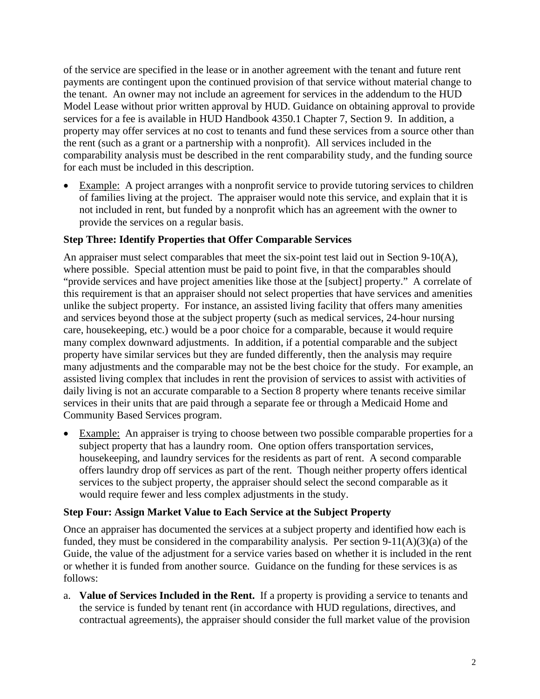of the service are specified in the lease or in another agreement with the tenant and future rent payments are contingent upon the continued provision of that service without material change to the tenant. An owner may not include an agreement for services in the addendum to the HUD Model Lease without prior written approval by HUD. Guidance on obtaining approval to provide services for a fee is available in HUD Handbook 4350.1 Chapter 7, Section 9. In addition, a property may offer services at no cost to tenants and fund these services from a source other than the rent (such as a grant or a partnership with a nonprofit). All services included in the comparability analysis must be described in the rent comparability study, and the funding source for each must be included in this description.

 Example: A project arranges with a nonprofit service to provide tutoring services to children of families living at the project. The appraiser would note this service, and explain that it is not included in rent, but funded by a nonprofit which has an agreement with the owner to provide the services on a regular basis.

## **Step Three: Identify Properties that Offer Comparable Services**

An appraiser must select comparables that meet the six-point test laid out in Section 9-10(A), where possible. Special attention must be paid to point five, in that the comparables should "provide services and have project amenities like those at the [subject] property." A correlate of this requirement is that an appraiser should not select properties that have services and amenities unlike the subject property. For instance, an assisted living facility that offers many amenities and services beyond those at the subject property (such as medical services, 24-hour nursing care, housekeeping, etc.) would be a poor choice for a comparable, because it would require many complex downward adjustments. In addition, if a potential comparable and the subject property have similar services but they are funded differently, then the analysis may require many adjustments and the comparable may not be the best choice for the study. For example, an assisted living complex that includes in rent the provision of services to assist with activities of daily living is not an accurate comparable to a Section 8 property where tenants receive similar services in their units that are paid through a separate fee or through a Medicaid Home and Community Based Services program.

 Example: An appraiser is trying to choose between two possible comparable properties for a subject property that has a laundry room. One option offers transportation services, housekeeping, and laundry services for the residents as part of rent. A second comparable offers laundry drop off services as part of the rent. Though neither property offers identical services to the subject property, the appraiser should select the second comparable as it would require fewer and less complex adjustments in the study.

## **Step Four: Assign Market Value to Each Service at the Subject Property**

Once an appraiser has documented the services at a subject property and identified how each is funded, they must be considered in the comparability analysis. Per section  $9-11(A)(3)(a)$  of the Guide, the value of the adjustment for a service varies based on whether it is included in the rent or whether it is funded from another source. Guidance on the funding for these services is as follows:

a. **Value of Services Included in the Rent.** If a property is providing a service to tenants and the service is funded by tenant rent (in accordance with HUD regulations, directives, and contractual agreements), the appraiser should consider the full market value of the provision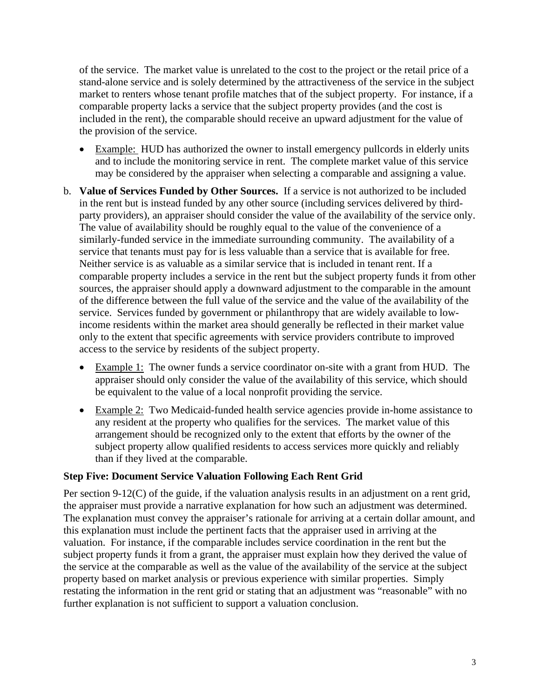of the service. The market value is unrelated to the cost to the project or the retail price of a stand-alone service and is solely determined by the attractiveness of the service in the subject market to renters whose tenant profile matches that of the subject property. For instance, if a comparable property lacks a service that the subject property provides (and the cost is included in the rent), the comparable should receive an upward adjustment for the value of the provision of the service.

- Example: HUD has authorized the owner to install emergency pullcords in elderly units and to include the monitoring service in rent. The complete market value of this service may be considered by the appraiser when selecting a comparable and assigning a value.
- b. **Value of Services Funded by Other Sources.** If a service is not authorized to be included in the rent but is instead funded by any other source (including services delivered by thirdparty providers), an appraiser should consider the value of the availability of the service only. The value of availability should be roughly equal to the value of the convenience of a similarly-funded service in the immediate surrounding community. The availability of a service that tenants must pay for is less valuable than a service that is available for free. Neither service is as valuable as a similar service that is included in tenant rent. If a comparable property includes a service in the rent but the subject property funds it from other sources, the appraiser should apply a downward adjustment to the comparable in the amount of the difference between the full value of the service and the value of the availability of the service. Services funded by government or philanthropy that are widely available to lowincome residents within the market area should generally be reflected in their market value only to the extent that specific agreements with service providers contribute to improved access to the service by residents of the subject property.
	- Example 1: The owner funds a service coordinator on-site with a grant from HUD. The appraiser should only consider the value of the availability of this service, which should be equivalent to the value of a local nonprofit providing the service.
	- Example 2: Two Medicaid-funded health service agencies provide in-home assistance to any resident at the property who qualifies for the services. The market value of this arrangement should be recognized only to the extent that efforts by the owner of the subject property allow qualified residents to access services more quickly and reliably than if they lived at the comparable.

## **Step Five: Document Service Valuation Following Each Rent Grid**

Per section 9-12(C) of the guide, if the valuation analysis results in an adjustment on a rent grid, the appraiser must provide a narrative explanation for how such an adjustment was determined. The explanation must convey the appraiser's rationale for arriving at a certain dollar amount, and this explanation must include the pertinent facts that the appraiser used in arriving at the valuation. For instance, if the comparable includes service coordination in the rent but the subject property funds it from a grant, the appraiser must explain how they derived the value of the service at the comparable as well as the value of the availability of the service at the subject property based on market analysis or previous experience with similar properties. Simply restating the information in the rent grid or stating that an adjustment was "reasonable" with no further explanation is not sufficient to support a valuation conclusion.